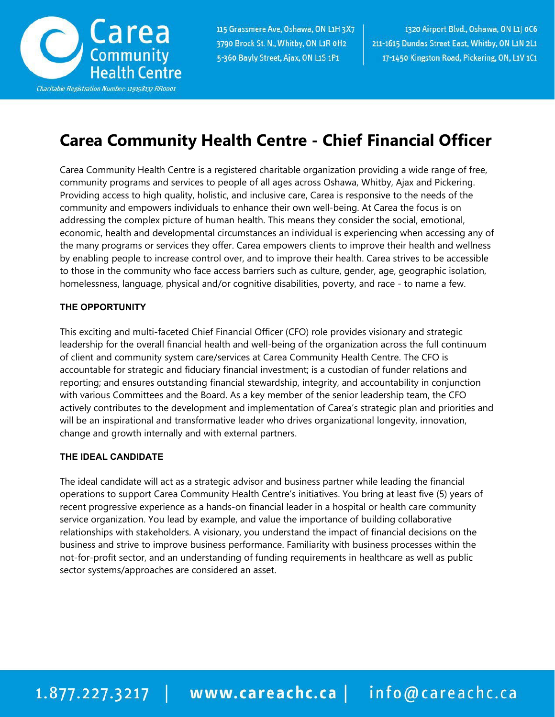

115 Grassmere Ave, Oshawa, ON L1H 3X7 3790 Brock St. N., Whitby, ON L1R oH2 5-360 Bayly Street, Ajax, ON L1S 1P1

1320 Airport Blvd., Oshawa, ON L1| 0C6 211-1615 Dundas Street East, Whitby, ON L1N 2L1 17-1450 Kingston Road, Pickering, ON, L1V 1C1

## **Carea Community Health Centre - Chief Financial Officer**

Carea Community Health Centre is a registered charitable organization providing a wide range of free, community programs and services to people of all ages across Oshawa, Whitby, Ajax and Pickering. Providing access to high quality, holistic, and inclusive care, Carea is responsive to the needs of the community and empowers individuals to enhance their own well-being. At Carea the focus is on addressing the complex picture of human health. This means they consider the social, emotional, economic, health and developmental circumstances an individual is experiencing when accessing any of the many programs or services they offer. Carea empowers clients to improve their health and wellness by enabling people to increase control over, and to improve their health. Carea strives to be accessible to those in the community who face access barriers such as culture, gender, age, geographic isolation, homelessness, language, physical and/or cognitive disabilities, poverty, and race - to name a few.

### **THE OPPORTUNITY**

This exciting and multi-faceted Chief Financial Officer (CFO) role provides visionary and strategic leadership for the overall financial health and well-being of the organization across the full continuum of client and community system care/services at Carea Community Health Centre. The CFO is accountable for strategic and fiduciary financial investment; is a custodian of funder relations and reporting; and ensures outstanding financial stewardship, integrity, and accountability in conjunction with various Committees and the Board. As a key member of the senior leadership team, the CFO actively contributes to the development and implementation of Carea's strategic plan and priorities and will be an inspirational and transformative leader who drives organizational longevity, innovation, change and growth internally and with external partners.

### **THE IDEAL CANDIDATE**

The ideal candidate will act as a strategic advisor and business partner while leading the financial operations to support Carea Community Health Centre's initiatives. You bring at least five (5) years of recent progressive experience as a hands-on financial leader in a hospital or health care community service organization. You lead by example, and value the importance of building collaborative relationships with stakeholders. A visionary, you understand the impact of financial decisions on the business and strive to improve business performance. Familiarity with business processes within the not-for-profit sector, and an understanding of funding requirements in healthcare as well as public sector systems/approaches are considered an asset.

# 1.877.227.3217 | www.careachc.ca | info@careachc.ca